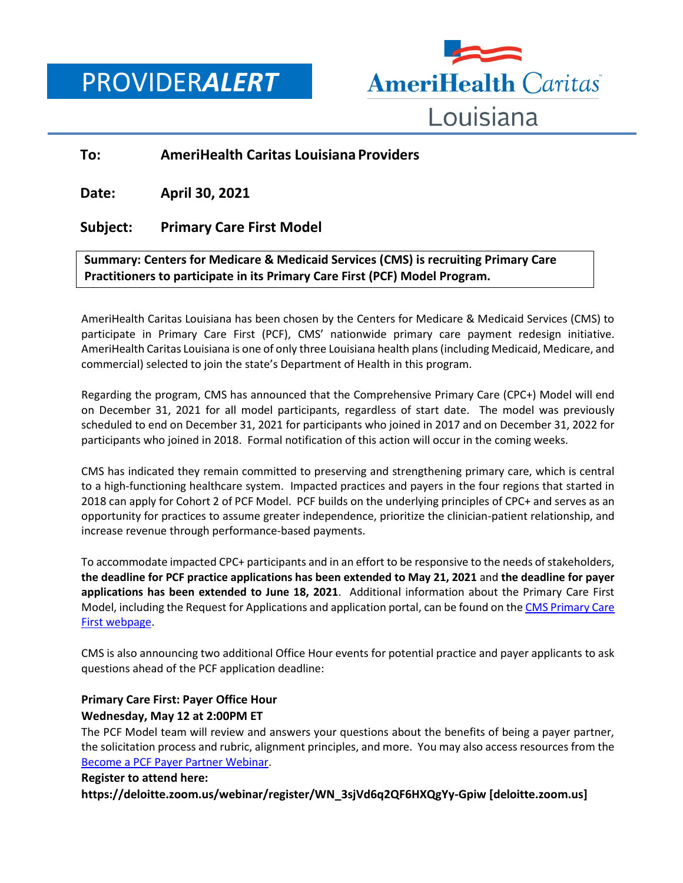PROVIDER*ALERT*



## **To: AmeriHealth Caritas Louisiana Providers**

**Date: April 30, 2021**

## **Subject: Primary Care First Model**

## **Summary: Centers for Medicare & Medicaid Services (CMS) is recruiting Primary Care Practitioners to participate in its Primary Care First (PCF) Model Program.**

AmeriHealth Caritas Louisiana has been chosen by the Centers for Medicare & Medicaid Services (CMS) to participate in Primary Care First (PCF), CMS' nationwide primary care payment redesign initiative. AmeriHealth Caritas Louisiana is one of only three Louisiana health plans (including Medicaid, Medicare, and commercial) selected to join the state's Department of Health in this program.

Regarding the program, CMS has announced that the Comprehensive Primary Care (CPC+) Model will end on December 31, 2021 for all model participants, regardless of start date. The model was previously scheduled to end on December 31, 2021 for participants who joined in 2017 and on December 31, 2022 for participants who joined in 2018. Formal notification of this action will occur in the coming weeks.

CMS has indicated they remain committed to preserving and strengthening primary care, which is central to a high-functioning healthcare system. Impacted practices and payers in the four regions that started in 2018 can apply for Cohort 2 of PCF Model. PCF builds on the underlying principles of CPC+ and serves as an opportunity for practices to assume greater independence, prioritize the clinician-patient relationship, and increase revenue through performance-based payments.

To accommodate impacted CPC+ participants and in an effort to be responsive to the needs of stakeholders, **the deadline for PCF practice applications has been extended to May 21, 2021** and **the deadline for payer applications has been extended to June 18, 2021**. Additional information about the Primary Care First Model, including the Request for Applications and application portal, can be found on the CMS Primary Care [First webpage.](https://innovation.cms.gov/innovation-models/primary-care-first-model-options#rfa)

CMS is also announcing two additional Office Hour events for potential practice and payer applicants to ask questions ahead of the PCF application deadline:

### **Primary Care First: Payer Office Hour Wednesday, May 12 at 2:00PM ET**

The PCF Model team will review and answers your questions about the benefits of being a payer partner, the solicitation process and rubric, alignment principles, and more. You may also access resources from the [Become a PCF Payer Partner Webinar.](https://innovation.cms.gov/pcf-payer-partner)

### **Register to attend here:**

**https://deloitte.zoom.us/webinar/register/WN\_3sjVd6q2QF6HXQgYy-Gpiw [deloitte.zoom.us]**